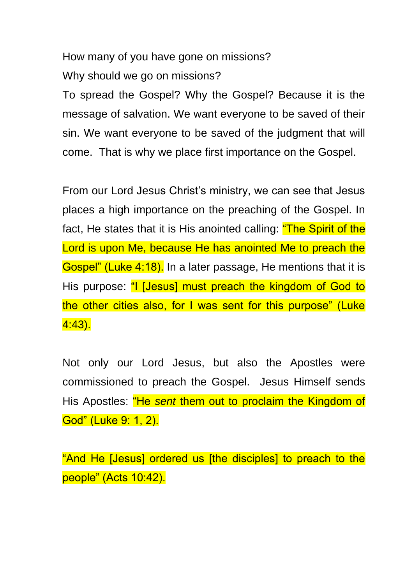How many of you have gone on missions? Why should we go on missions?

To spread the Gospel? Why the Gospel? Because it is the message of salvation. We want everyone to be saved of their sin. We want everyone to be saved of the judgment that will come. That is why we place first importance on the Gospel.

From our Lord Jesus Christ's ministry, we can see that Jesus places a high importance on the preaching of the Gospel. In fact, He states that it is His anointed calling: "The Spirit of the Lord is upon Me, because He has anointed Me to preach the Gospel" (Luke 4:18). In a later passage, He mentions that it is His purpose: "I [Jesus] must preach the kingdom of God to the other cities also, for I was sent for this purpose" (Luke 4:43).

Not only our Lord Jesus, but also the Apostles were commissioned to preach the Gospel. Jesus Himself sends His Apostles: "He *sent* them out to proclaim the Kingdom of God" (Luke 9: 1, 2).

"And He [Jesus] ordered us [the disciples] to preach to the people" (Acts 10:42).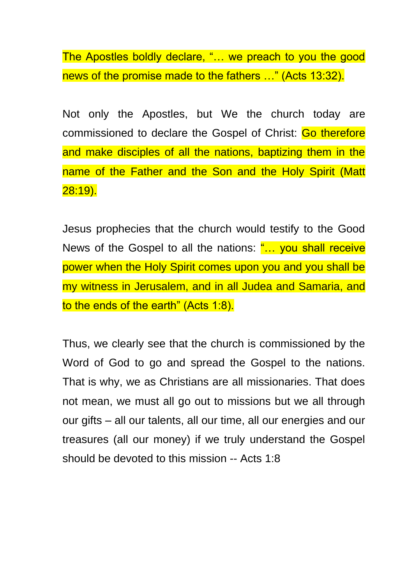The Apostles boldly declare, "… we preach to you the good news of the promise made to the fathers …" (Acts 13:32).

Not only the Apostles, but We the church today are commissioned to declare the Gospel of Christ: Go therefore and make disciples of all the nations, baptizing them in the name of the Father and the Son and the Holy Spirit (Matt 28:19).

Jesus prophecies that the church would testify to the Good News of the Gospel to all the nations: "... you shall receive power when the Holy Spirit comes upon you and you shall be my witness in Jerusalem, and in all Judea and Samaria, and to the ends of the earth" (Acts 1:8).

Thus, we clearly see that the church is commissioned by the Word of God to go and spread the Gospel to the nations. That is why, we as Christians are all missionaries. That does not mean, we must all go out to missions but we all through our gifts – all our talents, all our time, all our energies and our treasures (all our money) if we truly understand the Gospel should be devoted to this mission -- Acts 1:8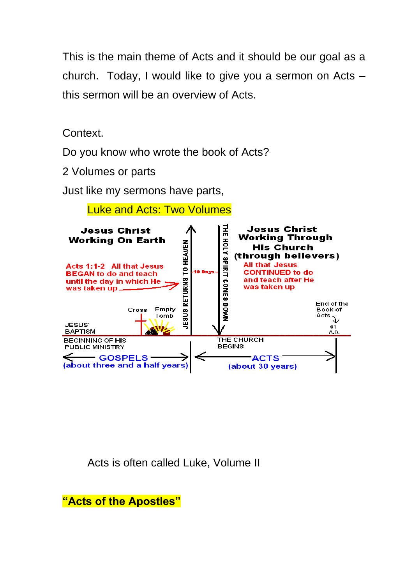This is the main theme of Acts and it should be our goal as a church. Today, I would like to give you a sermon on Acts – this sermon will be an overview of Acts.

Context.

Do you know who wrote the book of Acts?

2 Volumes or parts

Just like my sermons have parts,



Acts is often called Luke, Volume II

**"Acts of the Apostles"**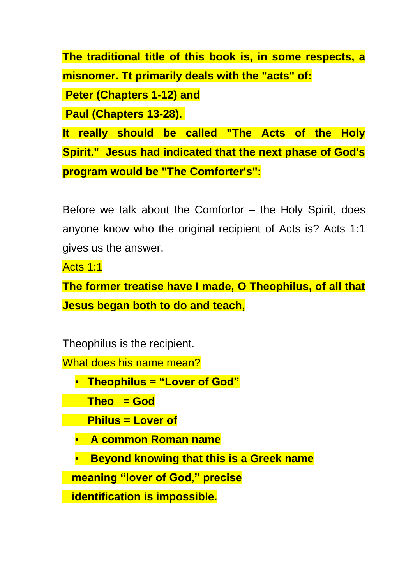**The traditional title of this book is, in some respects, a misnomer. Tt primarily deals with the "acts" of: Peter (Chapters 1-12) and Paul (Chapters 13-28). It really should be called "The Acts of the Holy Spirit." Jesus had indicated that the next phase of God's** 

**program would be "The Comforter's":**

Before we talk about the Comfortor – the Holy Spirit, does anyone know who the original recipient of Acts is? Acts 1:1 gives us the answer.

Acts 1:1

**The former treatise have I made, O Theophilus, of all that Jesus began both to do and teach,**

Theophilus is the recipient.

What does his name mean?

• **Theophilus = "Lover of God"**

**Theo = God**

**Philus = Lover of**

- **A common Roman name**
- **Beyond knowing that this is a Greek name**

 **meaning "lover of God," precise**

 **identification is impossible.**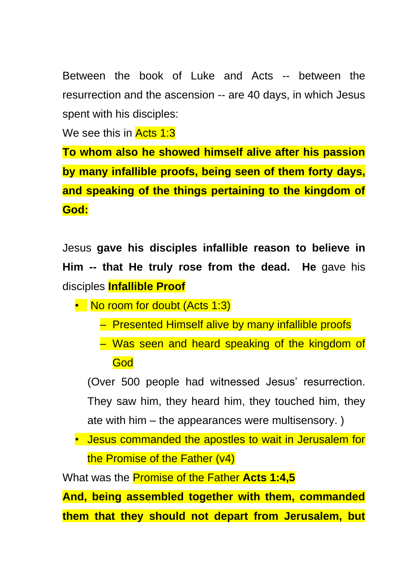Between the book of Luke and Acts -- between the resurrection and the ascension -- are 40 days, in which Jesus spent with his disciples:

We see this in **Acts 1:3** 

**To whom also he showed himself alive after his passion by many infallible proofs, being seen of them forty days, and speaking of the things pertaining to the kingdom of God:**

Jesus **gave his disciples infallible reason to believe in Him -- that He truly rose from the dead. He** gave his disciples **Infallible Proof**

- No room for doubt (Acts 1:3)
	- Presented Himself alive by many infallible proofs
	- Was seen and heard speaking of the kingdom of **God**

(Over 500 people had witnessed Jesus' resurrection. They saw him, they heard him, they touched him, they ate with him – the appearances were multisensory. )

• Jesus commanded the apostles to wait in Jerusalem for the Promise of the Father (v4)

What was the Promise of the Father **Acts 1:4,5**

**And, being assembled together with them, commanded them that they should not depart from Jerusalem, but**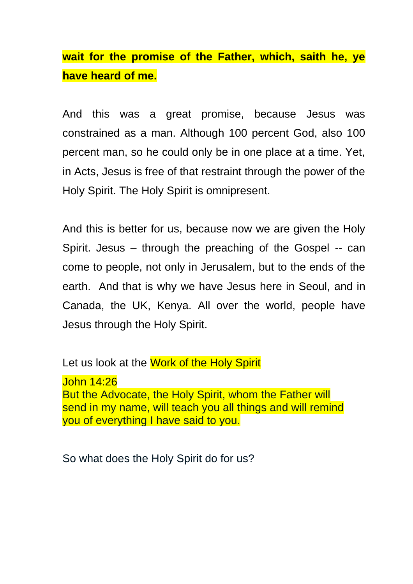**wait for the promise of the Father, which, saith he, ye have heard of me.**

And this was a great promise, because Jesus was constrained as a man. Although 100 percent God, also 100 percent man, so he could only be in one place at a time. Yet, in Acts, Jesus is free of that restraint through the power of the Holy Spirit. The Holy Spirit is omnipresent.

And this is better for us, because now we are given the Holy Spirit. Jesus – through the preaching of the Gospel -- can come to people, not only in Jerusalem, but to the ends of the earth. And that is why we have Jesus here in Seoul, and in Canada, the UK, Kenya. All over the world, people have Jesus through the Holy Spirit.

Let us look at the Work of the Holy Spirit

John 14:26 But the Advocate, the Holy Spirit, whom the Father will send in my name, will teach you all things and will remind you of everything I have said to you.

So what does the Holy Spirit do for us?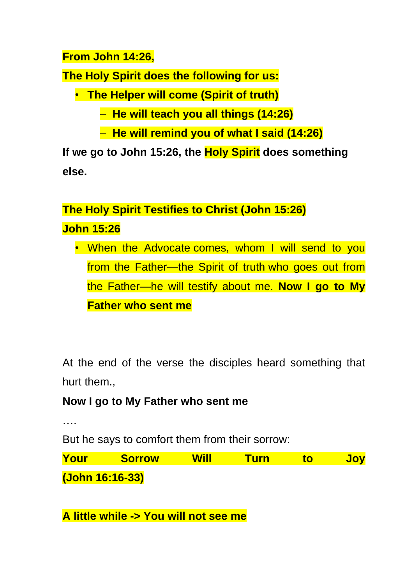## **From John 14:26,**

**The Holy Spirit does the following for us:**

• **The Helper will come (Spirit of truth)**

– **He will teach you all things (14:26)**

– **He will remind you of what I said (14:26)**

**If we go to John 15:26, the Holy Spirit does something else.** 

# **The Holy Spirit Testifies to Christ (John 15:26) John 15:26**

• When the Advocate comes, whom I will send to you from the Father—the Spirit of truth who goes out from the Father—he will testify about me. **Now I go to My Father who sent me**

At the end of the verse the disciples heard something that hurt them.,

# **Now I go to My Father who sent me**

….

But he says to comfort them from their sorrow:

**Your Sorrow Will Turn to Joy (John 16:16-33)**

**A little while -> You will not see me**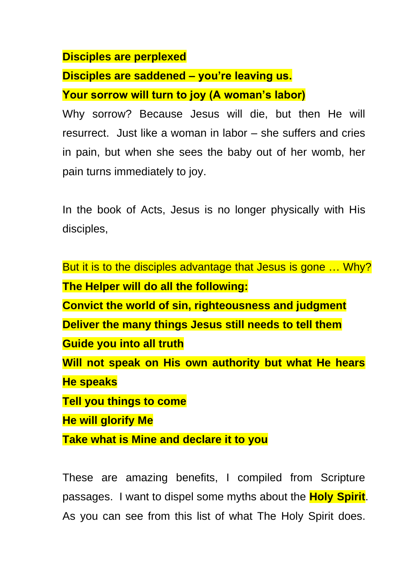#### **Disciples are perplexed**

#### **Disciples are saddened – you're leaving us.**

### **Your sorrow will turn to joy (A woman's labor)**

Why sorrow? Because Jesus will die, but then He will resurrect. Just like a woman in labor – she suffers and cries in pain, but when she sees the baby out of her womb, her pain turns immediately to joy.

In the book of Acts, Jesus is no longer physically with His disciples,

But it is to the disciples advantage that Jesus is gone ... Why? **The Helper will do all the following: Convict the world of sin, righteousness and judgment Deliver the many things Jesus still needs to tell them Guide you into all truth Will not speak on His own authority but what He hears He speaks Tell you things to come He will glorify Me Take what is Mine and declare it to you**

These are amazing benefits, I compiled from Scripture passages. I want to dispel some myths about the **Holy Spirit**. As you can see from this list of what The Holy Spirit does.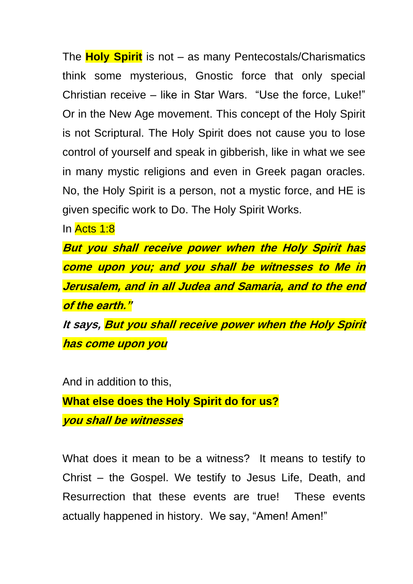The **Holy Spirit** is not – as many Pentecostals/Charismatics think some mysterious, Gnostic force that only special Christian receive – like in Star Wars. "Use the force, Luke!" Or in the New Age movement. This concept of the Holy Spirit is not Scriptural. The Holy Spirit does not cause you to lose control of yourself and speak in gibberish, like in what we see in many mystic religions and even in Greek pagan oracles. No, the Holy Spirit is a person, not a mystic force, and HE is given specific work to Do. The Holy Spirit Works.

In Acts 1:8

**But you shall receive power when the Holy Spirit has come upon you; and you shall be witnesses to Me in Jerusalem, and in all Judea and Samaria, and to the end of the earth." It says, But you shall receive power when the Holy Spirit has come upon you**

And in addition to this,

**What else does the Holy Spirit do for us? you shall be witnesses**

What does it mean to be a witness? It means to testify to Christ – the Gospel. We testify to Jesus Life, Death, and Resurrection that these events are true! These events actually happened in history. We say, "Amen! Amen!"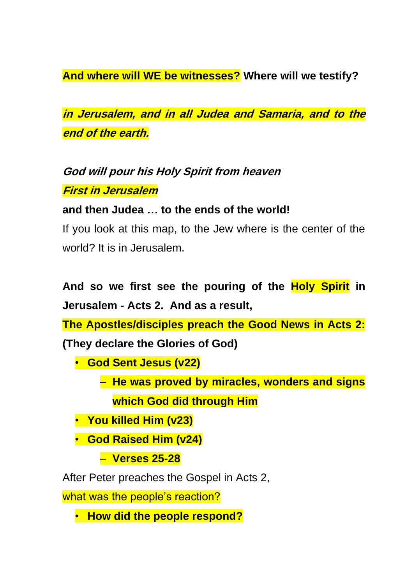**And where will WE be witnesses? Where will we testify?** 

**in Jerusalem, and in all Judea and Samaria, and to the end of the earth.**

**God will pour his Holy Spirit from heaven First in Jerusalem**

**and then Judea … to the ends of the world!**

If you look at this map, to the Jew where is the center of the world? It is in Jerusalem.

**And so we first see the pouring of the Holy Spirit in Jerusalem - Acts 2. And as a result,** 

**The Apostles/disciples preach the Good News in Acts 2: (They declare the Glories of God)**

- **God Sent Jesus (v22)**
	- **He was proved by miracles, wonders and signs which God did through Him**
- **You killed Him (v23)**
- **God Raised Him (v24)**
	- **Verses 25-28**

After Peter preaches the Gospel in Acts 2,

what was the people's reaction?

• **How did the people respond?**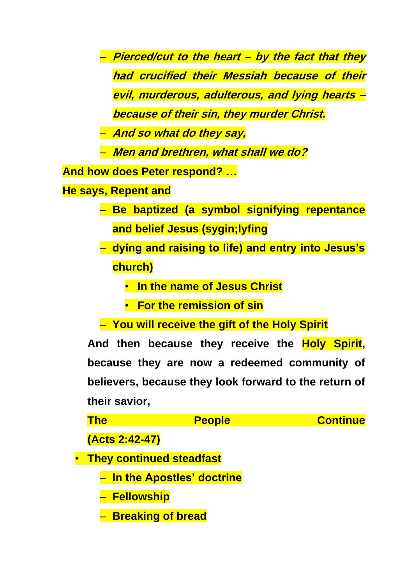– **Pierced/cut to the heart – by the fact that they had crucified their Messiah because of their evil, murderous, adulterous, and lying hearts – because of their sin, they murder Christ.** 

– **And so what do they say,** 

– **Men and brethren, what shall we do?**

**And how does Peter respond? …**

**He says, Repent and** 

- **Be baptized (a symbol signifying repentance and belief Jesus (sygin;lyfing**
- **dying and raising to life) and entry into Jesus's church)**
	- **In the name of Jesus Christ**
	- **For the remission of sin**
- **You will receive the gift of the Holy Spirit**

**And then because they receive the Holy Spirit, because they are now a redeemed community of believers, because they look forward to the return of their savior,** 

| The                        | <b>People</b>                      | <b>Continue</b> |
|----------------------------|------------------------------------|-----------------|
| (Acts 2:42-47)             |                                    |                 |
| • They continued steadfast |                                    |                 |
|                            | <u>– In the Apostles' doctrine</u> |                 |
| – Fellowship               |                                    |                 |
| - Breaking of bread        |                                    |                 |
|                            |                                    |                 |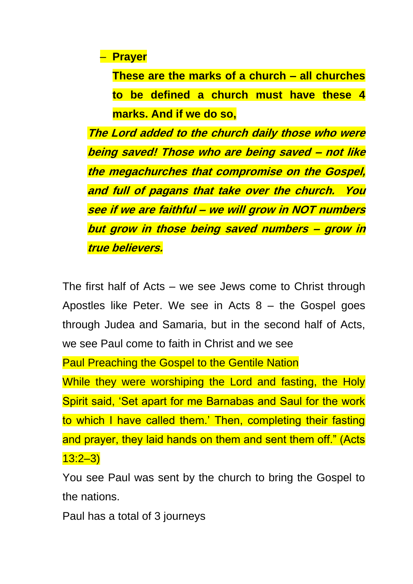– **Prayer**

**These are the marks of a church – all churches to be defined a church must have these 4 marks. And if we do so,** 

**The Lord added to the church daily those who were being saved! Those who are being saved – not like the megachurches that compromise on the Gospel, and full of pagans that take over the church. You see if we are faithful – we will grow in NOT numbers but grow in those being saved numbers – grow in true believers.** 

The first half of Acts – we see Jews come to Christ through Apostles like Peter. We see in Acts 8 – the Gospel goes through Judea and Samaria, but in the second half of Acts, we see Paul come to faith in Christ and we see

Paul Preaching the Gospel to the Gentile Nation

While they were worshiping the Lord and fasting, the Holy Spirit said, 'Set apart for me Barnabas and Saul for the work to which I have called them.' Then, completing their fasting and prayer, they laid hands on them and sent them off." (Acts 13:2–3)

You see Paul was sent by the church to bring the Gospel to the nations.

Paul has a total of 3 journeys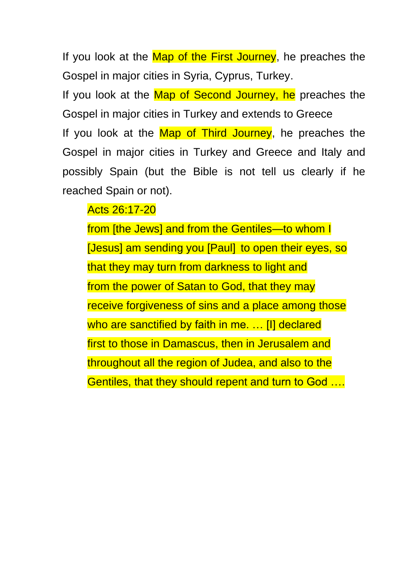If you look at the Map of the First Journey, he preaches the Gospel in major cities in Syria, Cyprus, Turkey.

If you look at the Map of Second Journey, he preaches the Gospel in major cities in Turkey and extends to Greece If you look at the Map of Third Journey, he preaches the Gospel in major cities in Turkey and Greece and Italy and possibly Spain (but the Bible is not tell us clearly if he reached Spain or not).

Acts 26:17-20

from [the Jews] and from the Gentiles—to whom I [Jesus] am sending you [Paul] to open their eyes, so that they may turn from darkness to light and from the power of Satan to God, that they may receive forgiveness of sins and a place among those who are sanctified by faith in me. ... [I] declared first to those in Damascus, then in Jerusalem and throughout all the region of Judea, and also to the Gentiles, that they should repent and turn to God ….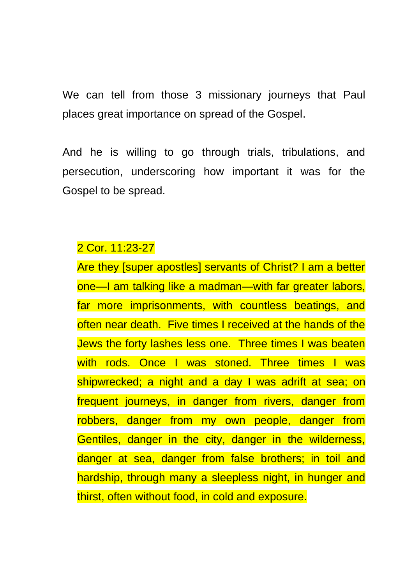We can tell from those 3 missionary journeys that Paul places great importance on spread of the Gospel.

And he is willing to go through trials, tribulations, and persecution, underscoring how important it was for the Gospel to be spread.

# 2 Cor. 11:23-27

Are they [super apostles] servants of Christ? I am a better one—I am talking like a madman—with far greater labors, far more imprisonments, with countless beatings, and often near death. Five times I received at the hands of the Jews the forty lashes less one. Three times I was beaten with rods. Once I was stoned. Three times I was shipwrecked; a night and a day I was adrift at sea; on frequent journeys, in danger from rivers, danger from robbers, danger from my own people, danger from Gentiles, danger in the city, danger in the wilderness, danger at sea, danger from false brothers; in toil and hardship, through many a sleepless night, in hunger and thirst, often without food, in cold and exposure.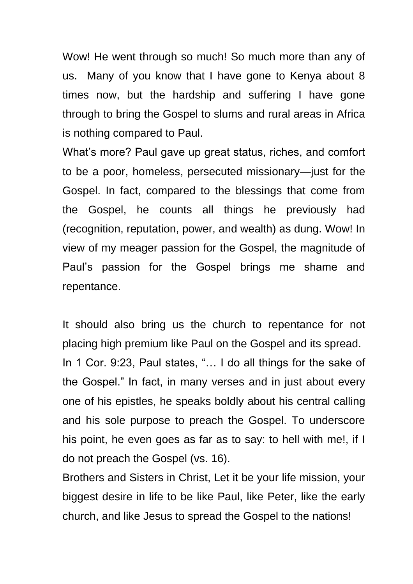Wow! He went through so much! So much more than any of us. Many of you know that I have gone to Kenya about 8 times now, but the hardship and suffering I have gone through to bring the Gospel to slums and rural areas in Africa is nothing compared to Paul.

What's more? Paul gave up great status, riches, and comfort to be a poor, homeless, persecuted missionary—just for the Gospel. In fact, compared to the blessings that come from the Gospel, he counts all things he previously had (recognition, reputation, power, and wealth) as dung. Wow! In view of my meager passion for the Gospel, the magnitude of Paul's passion for the Gospel brings me shame and repentance.

It should also bring us the church to repentance for not placing high premium like Paul on the Gospel and its spread. In 1 Cor. 9:23, Paul states, "… I do all things for the sake of the Gospel." In fact, in many verses and in just about every one of his epistles, he speaks boldly about his central calling and his sole purpose to preach the Gospel. To underscore his point, he even goes as far as to say: to hell with me!, if I do not preach the Gospel (vs. 16).

Brothers and Sisters in Christ, Let it be your life mission, your biggest desire in life to be like Paul, like Peter, like the early church, and like Jesus to spread the Gospel to the nations!